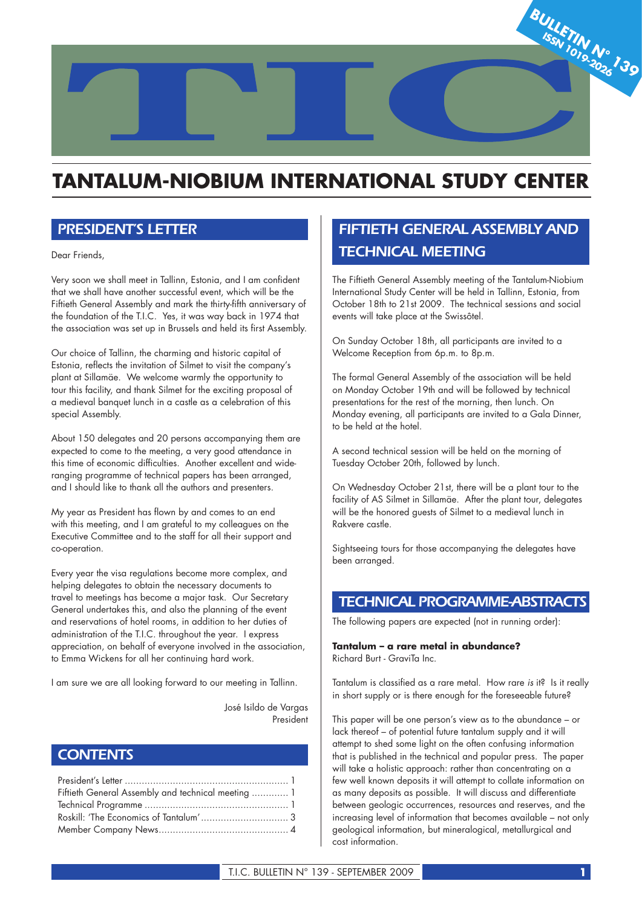

# **TANTALUM-NIOBIUM INTERNATIONAL STUDY CENTER**

# *PRESIDENT'S LETTER*

Dear Friends,

Very soon we shall meet in Tallinn, Estonia, and I am confident that we shall have another successful event, which will be the Fiftieth General Assembly and mark the thirty-fifth anniversary of the foundation of the T.I.C. Yes, it was way back in 1974 that the association was set up in Brussels and held its first Assembly.

Our choice of Tallinn, the charming and historic capital of Estonia, reflects the invitation of Silmet to visit the company's plant at Sillamäe. We welcome warmly the opportunity to tour this facility, and thank Silmet for the exciting proposal of a medieval banquet lunch in a castle as a celebration of this special Assembly.

About 150 delegates and 20 persons accompanying them are expected to come to the meeting, a very good attendance in this time of economic difficulties. Another excellent and wideranging programme of technical papers has been arranged, and I should like to thank all the authors and presenters.

My year as President has flown by and comes to an end with this meeting, and I am grateful to my colleagues on the Executive Committee and to the staff for all their support and co-operation.

Every year the visa regulations become more complex, and helping delegates to obtain the necessary documents to travel to meetings has become a major task. Our Secretary General undertakes this, and also the planning of the event and reservations of hotel rooms, in addition to her duties of administration of the T.I.C. throughout the year. I express appreciation, on behalf of everyone involved in the association, to Emma Wickens for all her continuing hard work.

I am sure we are all looking forward to our meeting in Tallinn.

 José Isildo de Vargas President

# *CONTENTS*

| Fiftieth General Assembly and technical meeting  1 |  |
|----------------------------------------------------|--|
|                                                    |  |
|                                                    |  |
|                                                    |  |

# *FIFTIETH GENERAL ASSEMBLY AND TECHNICAL MEETING*

The Fiftieth General Assembly meeting of the Tantalum-Niobium International Study Center will be held in Tallinn, Estonia, from October 18th to 21st 2009. The technical sessions and social events will take place at the Swissôtel.

On Sunday October 18th, all participants are invited to a Welcome Reception from 6p.m. to 8p.m.

The formal General Assembly of the association will be held on Monday October 19th and will be followed by technical presentations for the rest of the morning, then lunch. On Monday evening, all participants are invited to a Gala Dinner, to be held at the hotel.

A second technical session will be held on the morning of Tuesday October 20th, followed by lunch.

On Wednesday October 21st, there will be a plant tour to the facility of AS Silmet in Sillamäe. After the plant tour, delegates will be the honored guests of Silmet to a medieval lunch in Rakvere castle.

Sightseeing tours for those accompanying the delegates have been arranged.

# *TECHNICAL PROGRAMME-ABSTRACTS*

The following papers are expected (not in running order):

**Tantalum – a rare metal in abundance?** Richard Burt - GraviTa Inc.

Tantalum is classified as a rare metal. How rare is it? Is it really in short supply or is there enough for the foreseeable future?

This paper will be one person's view as to the abundance – or lack thereof – of potential future tantalum supply and it will attempt to shed some light on the often confusing information that is published in the technical and popular press. The paper will take a holistic approach: rather than concentrating on a few well known deposits it will attempt to collate information on as many deposits as possible. It will discuss and differentiate between geologic occurrences, resources and reserves, and the increasing level of information that becomes available – not only geological information, but mineralogical, metallurgical and cost information.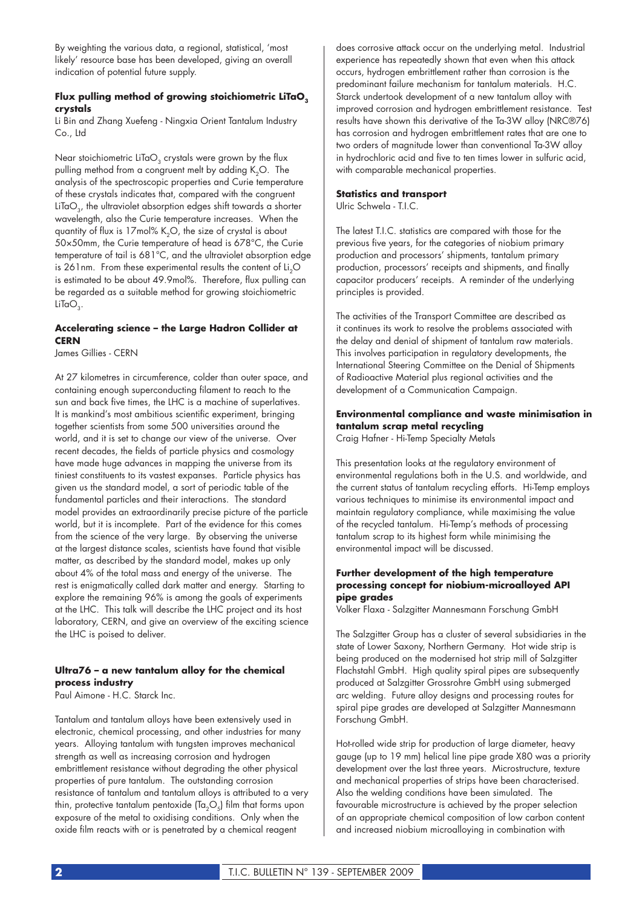By weighting the various data, a regional, statistical, 'most likely' resource base has been developed, giving an overall indication of potential future supply.

#### Flux pulling method of growing stoichiometric LiTaO<sub>2</sub> **crystals**

Li Bin and Zhang Xuefeng - Ningxia Orient Tantalum Industry Co., Ltd

Near stoichiometric LiTaO<sub>2</sub> crystals were grown by the flux pulling method from a congruent melt by adding K<sub>2</sub>O. The analysis of the spectroscopic properties and Curie temperature of these crystals indicates that, compared with the congruent LiTaO<sub>3</sub>, the ultraviolet absorption edges shift towards a shorter wavelength, also the Curie temperature increases. When the quantity of flux is  $17 \text{mol}$ % K<sub>2</sub>O, the size of crystal is about 50×50mm, the Curie temperature of head is 678°C, the Curie temperature of tail is 681°C, and the ultraviolet absorption edge is  $261$ nm. From these experimental results the content of Li<sub>2</sub>O is estimated to be about 49.9mol%. Therefore, flux pulling can be regarded as a suitable method for growing stoichiometric  $LiTaO<sub>3</sub>$ .

# **Accelerating science – the Large Hadron Collider at CERN**

James Gillies - CERN

At 27 kilometres in circumference, colder than outer space, and containing enough superconducting filament to reach to the sun and back five times, the LHC is a machine of superlatives. It is mankind's most ambitious scientific experiment, bringing together scientists from some 500 universities around the world, and it is set to change our view of the universe. Over recent decades, the fields of particle physics and cosmology have made huge advances in mapping the universe from its tiniest constituents to its vastest expanses. Particle physics has given us the standard model, a sort of periodic table of the fundamental particles and their interactions. The standard model provides an extraordinarily precise picture of the particle world, but it is incomplete. Part of the evidence for this comes from the science of the very large. By observing the universe at the largest distance scales, scientists have found that visible matter, as described by the standard model, makes up only about 4% of the total mass and energy of the universe. The rest is enigmatically called dark matter and energy. Starting to explore the remaining 96% is among the goals of experiments at the LHC. This talk will describe the LHC project and its host laboratory, CERN, and give an overview of the exciting science the LHC is poised to deliver.

### **Ultra76 – a new tantalum alloy for the chemical process industry**

Paul Aimone - H.C. Starck Inc.

Tantalum and tantalum alloys have been extensively used in electronic, chemical processing, and other industries for many years. Alloying tantalum with tungsten improves mechanical strength as well as increasing corrosion and hydrogen embrittlement resistance without degrading the other physical properties of pure tantalum. The outstanding corrosion resistance of tantalum and tantalum alloys is attributed to a very thin, protective tantalum pentoxide  $(Ta_2O_5)$  film that forms upon exposure of the metal to oxidising conditions. Only when the oxide film reacts with or is penetrated by a chemical reagent

does corrosive attack occur on the underlying metal. Industrial experience has repeatedly shown that even when this attack occurs, hydrogen embrittlement rather than corrosion is the predominant failure mechanism for tantalum materials. H.C. Starck undertook development of a new tantalum alloy with improved corrosion and hydrogen embrittlement resistance. Test results have shown this derivative of the Ta-3W alloy (NRC®76) has corrosion and hydrogen embrittlement rates that are one to two orders of magnitude lower than conventional Ta-3W alloy in hydrochloric acid and five to ten times lower in sulfuric acid, with comparable mechanical properties.

#### **Statistics and transport**

Ulric Schwela - T.I.C.

The latest T.I.C. statistics are compared with those for the previous five years, for the categories of niobium primary production and processors' shipments, tantalum primary production, processors' receipts and shipments, and finally capacitor producers' receipts. A reminder of the underlying principles is provided.

The activities of the Transport Committee are described as it continues its work to resolve the problems associated with the delay and denial of shipment of tantalum raw materials. This involves participation in regulatory developments, the International Steering Committee on the Denial of Shipments of Radioactive Material plus regional activities and the development of a Communication Campaign.

# **Environmental compliance and waste minimisation in tantalum scrap metal recycling**

Craig Hafner - Hi-Temp Specialty Metals

This presentation looks at the regulatory environment of environmental regulations both in the U.S. and worldwide, and the current status of tantalum recycling efforts. Hi-Temp employs various techniques to minimise its environmental impact and maintain regulatory compliance, while maximising the value of the recycled tantalum. Hi-Temp's methods of processing tantalum scrap to its highest form while minimising the environmental impact will be discussed.

# **Further development of the high temperature processing concept for niobium-microalloyed API pipe grades**

Volker Flaxa - Salzgitter Mannesmann Forschung GmbH

The Salzgitter Group has a cluster of several subsidiaries in the state of Lower Saxony, Northern Germany. Hot wide strip is being produced on the modernised hot strip mill of Salzgitter Flachstahl GmbH. High quality spiral pipes are subsequently produced at Salzgitter Grossrohre GmbH using submerged arc welding. Future alloy designs and processing routes for spiral pipe grades are developed at Salzgitter Mannesmann Forschung GmbH.

Hot-rolled wide strip for production of large diameter, heavy gauge (up to 19 mm) helical line pipe grade X80 was a priority development over the last three years. Microstructure, texture and mechanical properties of strips have been characterised. Also the welding conditions have been simulated. The favourable microstructure is achieved by the proper selection of an appropriate chemical composition of low carbon content and increased niobium microalloying in combination with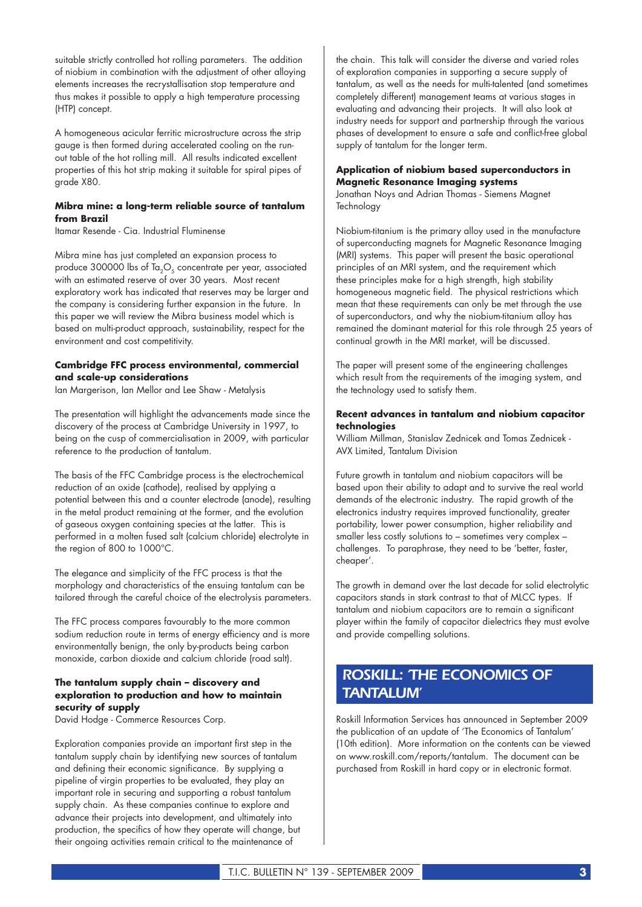suitable strictly controlled hot rolling parameters. The addition of niobium in combination with the adjustment of other alloying elements increases the recrystallisation stop temperature and thus makes it possible to apply a high temperature processing (HTP) concept.

A homogeneous acicular ferritic microstructure across the strip gauge is then formed during accelerated cooling on the runout table of the hot rolling mill. All results indicated excellent properties of this hot strip making it suitable for spiral pipes of grade X80.

#### **Mibra mine: a long-term reliable source of tantalum from Brazil**

Itamar Resende - Cia. Industrial Fluminense

Mibra mine has just completed an expansion process to produce 300000 lbs of  $Ta_2O_5$  concentrate per year, associated with an estimated reserve of over 30 years. Most recent exploratory work has indicated that reserves may be larger and the company is considering further expansion in the future. In this paper we will review the Mibra business model which is based on multi-product approach, sustainability, respect for the environment and cost competitivity.

#### **Cambridge FFC process environmental, commercial and scale-up considerations**

Ian Margerison, Ian Mellor and Lee Shaw - Metalysis

The presentation will highlight the advancements made since the discovery of the process at Cambridge University in 1997, to being on the cusp of commercialisation in 2009, with particular reference to the production of tantalum.

The basis of the FFC Cambridge process is the electrochemical reduction of an oxide (cathode), realised by applying a potential between this and a counter electrode (anode), resulting in the metal product remaining at the former, and the evolution of gaseous oxygen containing species at the latter. This is performed in a molten fused salt (calcium chloride) electrolyte in the region of 800 to 1000°C.

The elegance and simplicity of the FFC process is that the morphology and characteristics of the ensuing tantalum can be tailored through the careful choice of the electrolysis parameters.

The FFC process compares favourably to the more common sodium reduction route in terms of energy efficiency and is more environmentally benign, the only by-products being carbon monoxide, carbon dioxide and calcium chloride (road salt).

### **The tantalum supply chain – discovery and exploration to production and how to maintain security of supply**

David Hodge - Commerce Resources Corp.

Exploration companies provide an important first step in the tantalum supply chain by identifying new sources of tantalum and defining their economic significance. By supplying a pipeline of virgin properties to be evaluated, they play an important role in securing and supporting a robust tantalum supply chain. As these companies continue to explore and advance their projects into development, and ultimately into production, the specifics of how they operate will change, but their ongoing activities remain critical to the maintenance of

the chain. This talk will consider the diverse and varied roles of exploration companies in supporting a secure supply of tantalum, as well as the needs for multi-talented (and sometimes completely different) management teams at various stages in evaluating and advancing their projects. It will also look at industry needs for support and partnership through the various phases of development to ensure a safe and conflict-free global supply of tantalum for the longer term.

### **Application of niobium based superconductors in Magnetic Resonance Imaging systems**

Jonathan Noys and Adrian Thomas - Siemens Magnet **Technology** 

Niobium-titanium is the primary alloy used in the manufacture of superconducting magnets for Magnetic Resonance Imaging (MRI) systems. This paper will present the basic operational principles of an MRI system, and the requirement which these principles make for a high strength, high stability homogeneous magnetic field. The physical restrictions which mean that these requirements can only be met through the use of superconductors, and why the niobium-titanium alloy has remained the dominant material for this role through 25 years of continual growth in the MRI market, will be discussed.

The paper will present some of the engineering challenges which result from the requirements of the imaging system, and the technology used to satisfy them.

#### **Recent advances in tantalum and niobium capacitor technologies**

William Millman, Stanislav Zednicek and Tomas Zednicek - AVX Limited, Tantalum Division

Future growth in tantalum and niobium capacitors will be based upon their ability to adapt and to survive the real world demands of the electronic industry. The rapid growth of the electronics industry requires improved functionality, greater portability, lower power consumption, higher reliability and smaller less costly solutions to – sometimes very complex – challenges. To paraphrase, they need to be 'better, faster, cheaper'.

The growth in demand over the last decade for solid electrolytic capacitors stands in stark contrast to that of MLCC types. If tantalum and niobium capacitors are to remain a significant player within the family of capacitor dielectrics they must evolve and provide compelling solutions.

# *ROSKILL: 'THE ECONOMICS OF TANTALUM'*

Roskill Information Services has announced in September 2009 the publication of an update of 'The Economics of Tantalum' (10th edition). More information on the contents can be viewed on www.roskill.com/reports/tantalum. The document can be purchased from Roskill in hard copy or in electronic format.